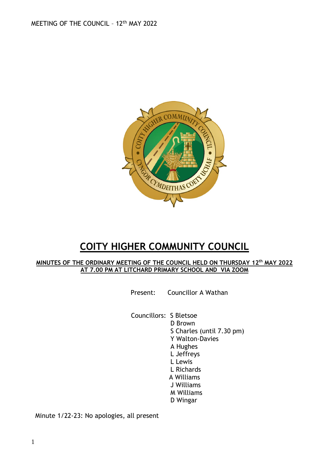

# **COITY HIGHER COMMUNITY COUNCIL**

#### **MINUTES OF THE ORDINARY MEETING OF THE COUNCIL HELD ON THURSDAY 12 th MAY 2022 AT 7.00 PM AT LITCHARD PRIMARY SCHOOL AND VIA ZOOM**

Present: Councillor A Wathan

Councillors: S Bletsoe

D Brown S Charles (until 7.30 pm) Y Walton-Davies A Hughes L Jeffreys L Lewis L Richards A Williams J Williams M Williams D Wingar

Minute 1/22-23: No apologies, all present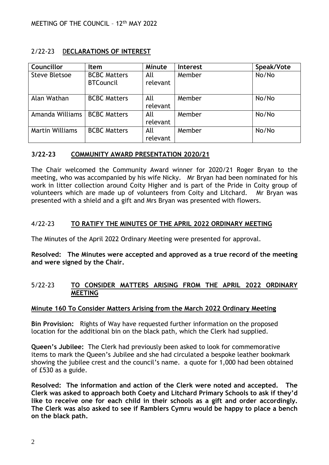## 2/22-23 D**ECLARATIONS OF INTEREST**

| Councillor             | ltem                                    | Minute          | <b>Interest</b> | Speak/Vote |
|------------------------|-----------------------------------------|-----------------|-----------------|------------|
| Steve Bletsoe          | <b>BCBC Matters</b><br><b>BTCouncil</b> | All<br>relevant | Member          | No/No      |
| Alan Wathan            | <b>BCBC Matters</b>                     | All<br>relevant | Member          | No/No      |
| Amanda Williams        | <b>BCBC Matters</b>                     | All<br>relevant | Member          | No/No      |
| <b>Martin Williams</b> | <b>BCBC Matters</b>                     | All<br>relevant | Member          | No/No      |

#### **3/22-23 COMMUNITY AWARD PRESENTATION 2020/21**

The Chair welcomed the Community Award winner for 2020/21 Roger Bryan to the meeting, who was accompanied by his wife Nicky. Mr Bryan had been nominated for his work in litter collection around Coity Higher and is part of the Pride in Coity group of volunteers which are made up of volunteers from Coity and Litchard. Mr Bryan was presented with a shield and a gift and Mrs Bryan was presented with flowers.

## 4/22-23 **TO RATIFY THE MINUTES OF THE APRIL 2022 ORDINARY MEETING**

The Minutes of the April 2022 Ordinary Meeting were presented for approval.

**Resolved: The Minutes were accepted and approved as a true record of the meeting and were signed by the Chair.**

#### 5/22-23 **TO CONSIDER MATTERS ARISING FROM THE APRIL 2022 ORDINARY MEETING**

#### **Minute 160 To Consider Matters Arising from the March 2022 Ordinary Meeting**

**Bin Provision:** Rights of Way have requested further information on the proposed location for the additional bin on the black path, which the Clerk had supplied.

**Queen's Jubilee:** The Clerk had previously been asked to look for commemorative items to mark the Queen's Jubilee and she had circulated a bespoke leather bookmark showing the jubilee crest and the council's name. a quote for 1,000 had been obtained of £530 as a guide.

**Resolved: The information and action of the Clerk were noted and accepted. The Clerk was asked to approach both Coety and Litchard Primary Schools to ask if they'd like to receive one for each child in their schools as a gift and order accordingly. The Clerk was also asked to see if Ramblers Cymru would be happy to place a bench on the black path.**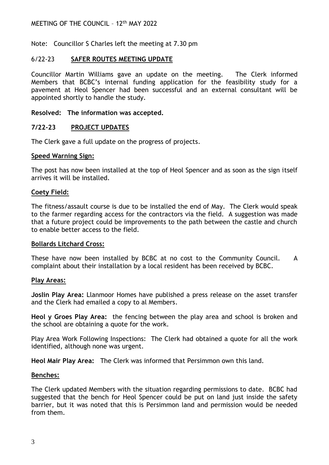Note: Councillor S Charles left the meeting at 7.30 pm

#### 6/22-23 **SAFER ROUTES MEETING UPDATE**

Councillor Martin Williams gave an update on the meeting. The Clerk informed Members that BCBC's internal funding application for the feasibility study for a pavement at Heol Spencer had been successful and an external consultant will be appointed shortly to handle the study.

#### **Resolved: The information was accepted.**

#### **7/22-23 PROJECT UPDATES**

The Clerk gave a full update on the progress of projects.

#### **Speed Warning Sign:**

The post has now been installed at the top of Heol Spencer and as soon as the sign itself arrives it will be installed.

#### **Coety Field:**

The fitness/assault course is due to be installed the end of May. The Clerk would speak to the farmer regarding access for the contractors via the field. A suggestion was made that a future project could be improvements to the path between the castle and church to enable better access to the field.

#### **Bollards Litchard Cross:**

These have now been installed by BCBC at no cost to the Community Council. A complaint about their installation by a local resident has been received by BCBC.

#### **Play Areas:**

**Joslin Play Area:** Llanmoor Homes have published a press release on the asset transfer and the Clerk had emailed a copy to al Members.

**Heol y Groes Play Area:** the fencing between the play area and school is broken and the school are obtaining a quote for the work.

Play Area Work Following Inspections: The Clerk had obtained a quote for all the work identified, although none was urgent.

**Heol Mair Play Area:** The Clerk was informed that Persimmon own this land.

#### **Benches:**

The Clerk updated Members with the situation regarding permissions to date. BCBC had suggested that the bench for Heol Spencer could be put on land just inside the safety barrier, but it was noted that this is Persimmon land and permission would be needed from them.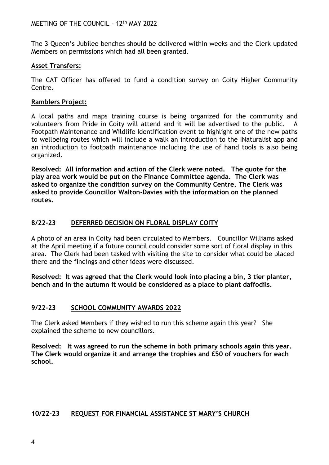The 3 Queen's Jubilee benches should be delivered within weeks and the Clerk updated Members on permissions which had all been granted.

## **Asset Transfers:**

The CAT Officer has offered to fund a condition survey on Coity Higher Community Centre.

## **Ramblers Project:**

A local paths and maps training course is being organized for the community and volunteers from Pride in Coity will attend and it will be advertised to the public. A Footpath Maintenance and Wildlife Identification event to highlight one of the new paths to wellbeing routes which will include a walk an introduction to the INaturalist app and an introduction to footpath maintenance including the use of hand tools is also being organized.

**Resolved: All information and action of the Clerk were noted. The quote for the play area work would be put on the Finance Committee agenda. The Clerk was asked to organize the condition survey on the Community Centre. The Clerk was asked to provide Councillor Walton-Davies with the information on the planned routes.**

## **8/22-23 DEFERRED DECISION ON FLORAL DISPLAY COITY**

A photo of an area in Coity had been circulated to Members. Councillor Williams asked at the April meeting if a future council could consider some sort of floral display in this area. The Clerk had been tasked with visiting the site to consider what could be placed there and the findings and other ideas were discussed.

**Resolved: It was agreed that the Clerk would look into placing a bin, 3 tier planter, bench and in the autumn it would be considered as a place to plant daffodils.**

## **9/22-23 SCHOOL COMMUNITY AWARDS 2022**

The Clerk asked Members if they wished to run this scheme again this year? She explained the scheme to new councillors.

**Resolved: It was agreed to run the scheme in both primary schools again this year. The Clerk would organize it and arrange the trophies and £50 of vouchers for each school.**

## **10/22-23 REQUEST FOR FINANCIAL ASSISTANCE ST MARY'S CHURCH**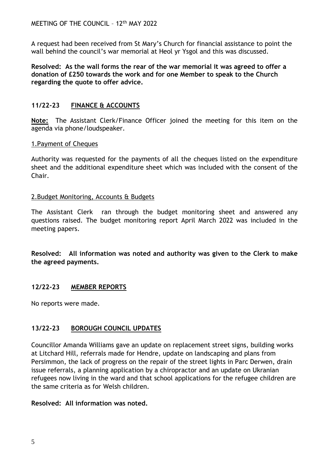A request had been received from St Mary's Church for financial assistance to point the wall behind the council's war memorial at Heol yr Ysgol and this was discussed.

**Resolved: As the wall forms the rear of the war memorial it was agreed to offer a donation of £250 towards the work and for one Member to speak to the Church regarding the quote to offer advice.**

## **11/22-23 FINANCE & ACCOUNTS**

**Note:** The Assistant Clerk/Finance Officer joined the meeting for this item on the agenda via phone/loudspeaker.

## 1.Payment of Cheques

Authority was requested for the payments of all the cheques listed on the expenditure sheet and the additional expenditure sheet which was included with the consent of the Chair.

#### 2.Budget Monitoring, Accounts & Budgets

The Assistant Clerk ran through the budget monitoring sheet and answered any questions raised. The budget monitoring report April March 2022 was included in the meeting papers.

**Resolved: All information was noted and authority was given to the Clerk to make the agreed payments.**

## **12/22-23 MEMBER REPORTS**

No reports were made.

# **13/22-23 BOROUGH COUNCIL UPDATES**

Councillor Amanda Williams gave an update on replacement street signs, building works at Litchard Hill, referrals made for Hendre, update on landscaping and plans from Persimmon, the lack of progress on the repair of the street lights in Parc Derwen, drain issue referrals, a planning application by a chiropractor and an update on Ukranian refugees now living in the ward and that school applications for the refugee children are the same criteria as for Welsh children.

## **Resolved: All information was noted.**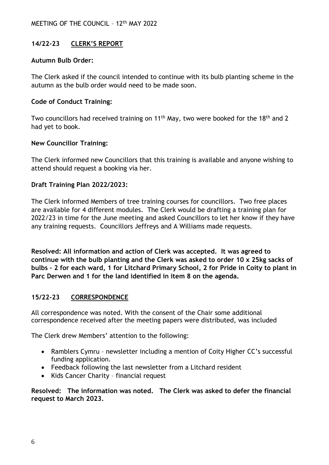# **14/22-23 CLERK'S REPORT**

#### **Autumn Bulb Order:**

The Clerk asked if the council intended to continue with its bulb planting scheme in the autumn as the bulb order would need to be made soon.

## **Code of Conduct Training:**

Two councillors had received training on 11<sup>th</sup> May, two were booked for the 18<sup>th</sup> and 2 had yet to book.

#### **New Councillor Training:**

The Clerk informed new Councillors that this training is available and anyone wishing to attend should request a booking via her.

#### **Draft Training Plan 2022/2023:**

The Clerk informed Members of tree training courses for councillors. Two free places are available for 4 different modules. The Clerk would be drafting a training plan for 2022/23 in time for the June meeting and asked Councillors to let her know if they have any training requests. Councillors Jeffreys and A Williams made requests.

**Resolved: All information and action of Clerk was accepted. It was agreed to continue with the bulb planting and the Clerk was asked to order 10 x 25kg sacks of bulbs – 2 for each ward, 1 for Litchard Primary School, 2 for Pride in Coity to plant in Parc Derwen and 1 for the land identified in item 8 on the agenda.**

## **15/22-23 CORRESPONDENCE**

All correspondence was noted. With the consent of the Chair some additional correspondence received after the meeting papers were distributed, was included

The Clerk drew Members' attention to the following:

- Ramblers Cymru newsletter including a mention of Coity Higher CC's successful funding application.
- Feedback following the last newsletter from a Litchard resident
- Kids Cancer Charity financial request

**Resolved: The information was noted. The Clerk was asked to defer the financial request to March 2023.**